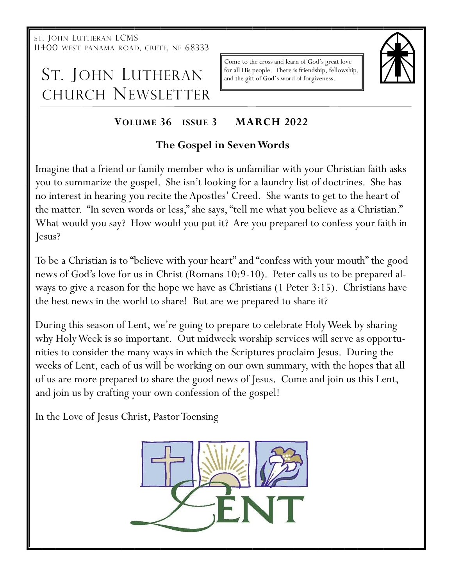ST. JOHN LUTHERAN LCMS 11400 WEST PANAMA ROAD, CRETE, NE 68333

# ST. JOHN LUTHERAN CHURCH NEWSLETTER

Come to the cross and learn of God's great love for all His people. There is friendship, fellowship, and the gift of God's word of forgiveness.



# **VOLUME 36 ISSUE 3 MARCH 2022**

## **The Gospel in Seven Words**

Imagine that a friend or family member who is unfamiliar with your Christian faith asks you to summarize the gospel. She isn't looking for a laundry list of doctrines. She has no interest in hearing you recite the Apostles' Creed. She wants to get to the heart of the matter. "In seven words or less," she says, "tell me what you believe as a Christian." What would you say? How would you put it? Are you prepared to confess your faith in Jesus?

To be a Christian is to "believe with your heart" and "confess with your mouth" the good news of God's love for us in Christ (Romans 10:9-10). Peter calls us to be prepared always to give a reason for the hope we have as Christians (1 Peter 3:15). Christians have the best news in the world to share! But are we prepared to share it?

During this season of Lent, we're going to prepare to celebrate Holy Week by sharing why Holy Week is so important. Out midweek worship services will serve as opportunities to consider the many ways in which the Scriptures proclaim Jesus. During the weeks of Lent, each of us will be working on our own summary, with the hopes that all of us are more prepared to share the good news of Jesus. Come and join us this Lent, and join us by crafting your own confession of the gospel!

In the Love of Jesus Christ, Pastor Toensing

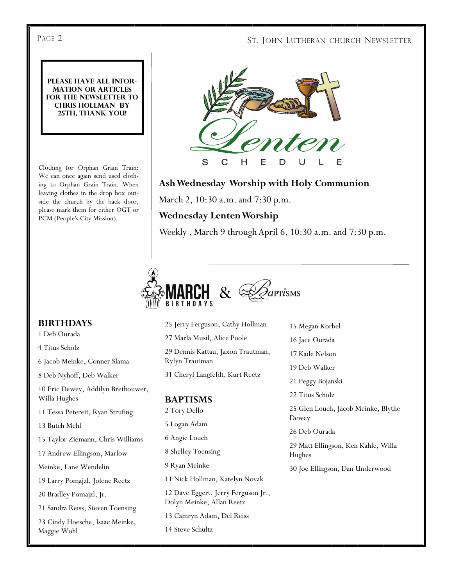#### PAGE 2 ST. JOHN LUTHERAN CHURCH NEWSLETTER

**Please have all information or articles for the newsletter to Chris Hollman by 25th, thank you!**

Clothing for Orphan Grain Train: We can once again send used clothing to Orphan Grain Train. When leaving clothes in the drop box outside the church by the back door, please mark them for either OGT or PCM (People's City Mission).



#### **Ash Wednesday Worship with Holy Communion**

March 2, 10:30 a.m. and 7:30 p.m.

#### **Wednesday Lenten Worship**

Weekly , March 9 through April 6, 10:30 a.m. and 7:30 p.m.



#### **BIRTHDAYS**

1 Deb Ourada

4 Titus Scholz

6 Jacob Meinke, Conner Slama

8 Deb Nyhoff, Deb Walker

10 Eric Dewey, Addilyn Brethouwer, Willa Hughes

11 Tessa Petereit, Ryan Strufing

13 Butch Mehl

15 Taylor Ziemann, Chris Williams

17 Andrew Ellingson, Marlow

Meinke, Lane Wendelin

19 Larry Pomajzl, Jolene Reetz

20 Bradley Pomajzl, Jr.

21 Sandra Reiss, Steven Toensing

23 Cindy Hoesche, Isaac Meinke, Maggie Wohl

#### 25 Jerry Ferguson, Cathy Hollman 27 Marla Musil, Alice Poole 29 Dennis Kattau, Jaxon Trautman, Rylyn Trautman 31 Cheryl Langfeldt, Kurt Reetz **BAPTISMS** 2 Tory Dello 5 Logan Adam 6 Angie Louch 8 Shelley Toensing 9 Ryan Meinke 11 Nick Hollman, Katelyn Novak 12 Dave Eggert, Jerry Ferguson Jr., Dolyn Meinke, Allan Reetz 15 Megan Korbel Dewey Hughes

13 Camryn Adam, Del Reiss

14 Steve Schultz

- 16 Jace Ourada
- 17 Kade Nelson
- 19 Deb Walker
- 21 Peggy Bojanski

22 Titus Scholz

25 Glen Louch, Jacob Meinke, Blythe

26 Deb Ourada

29 Matt Ellingson, Ken Kahle, Willa

30 Joe Ellingson, Dan Underwood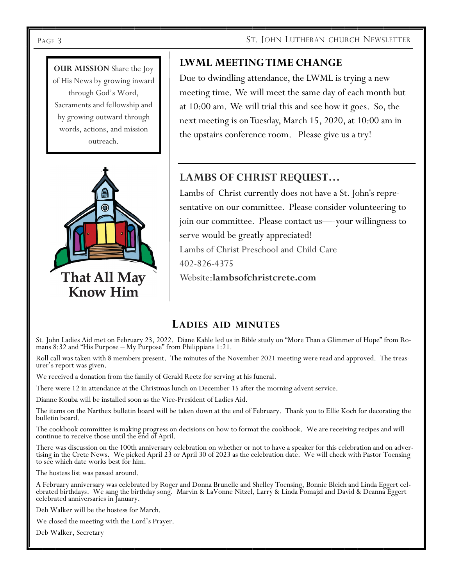#### Page 3 ST. JOHN LUTHERAN CHURCH NEWSLETTER

**OUR MISSION** Share the Joy of His News by growing inward through God's Word, Sacraments and fellowship and by growing outward through words, actions, and mission outreach.



### **LWML MEETING TIME CHANGE**

Due to dwindling attendance, the LWML is trying a new meeting time. We will meet the same day of each month but at 10:00 am. We will trial this and see how it goes. So, the next meeting is on Tuesday, March 15, 2020, at 10:00 am in the upstairs conference room. Please give us a try!

### **LAMBS OF CHRIST REQUEST…**

Lambs of Christ currently does not have a St. John's representative on our committee. Please consider volunteering to join our committee. Please contact us—-your willingness to serve would be greatly appreciated! Lambs of Christ Preschool and Child Care 402-826-4375 Website:**lambsofchristcrete.com**

#### **LADIES AID MINUTES**

St. John Ladies Aid met on February 23, 2022. Diane Kahle led us in Bible study on "More Than a Glimmer of Hope" from Romans 8:32 and "His Purpose – My Purpose" from Philippians 1:21.

Roll call was taken with 8 members present. The minutes of the November 2021 meeting were read and approved. The treasurer's report was given.

We received a donation from the family of Gerald Reetz for serving at his funeral.

There were 12 in attendance at the Christmas lunch on December 15 after the morning advent service.

Dianne Kouba will be installed soon as the Vice-President of Ladies Aid.

The items on the Narthex bulletin board will be taken down at the end of February. Thank you to Ellie Koch for decorating the bulletin board.

The cookbook committee is making progress on decisions on how to format the cookbook. We are receiving recipes and will continue to receive those until the end of April.

There was discussion on the 100th anniversary celebration on whether or not to have a speaker for this celebration and on advertising in the Crete News. We picked April 23 or April 30 of 2023 as the celebration date. We will check with Pastor Toensing to see which date works best for him.

The hostess list was passed around.

A February anniversary was celebrated by Roger and Donna Brunelle and Shelley Toensing, Bonnie Bleich and Linda Eggert celebrated birthdays. We sang the birthday song. Marvin & LaVonne Nitzel, Larry & Linda Pomajzl and David & Deanna Eggert celebrated anniversaries in January.

Deb Walker will be the hostess for March.

We closed the meeting with the Lord's Prayer.

Deb Walker, Secretary